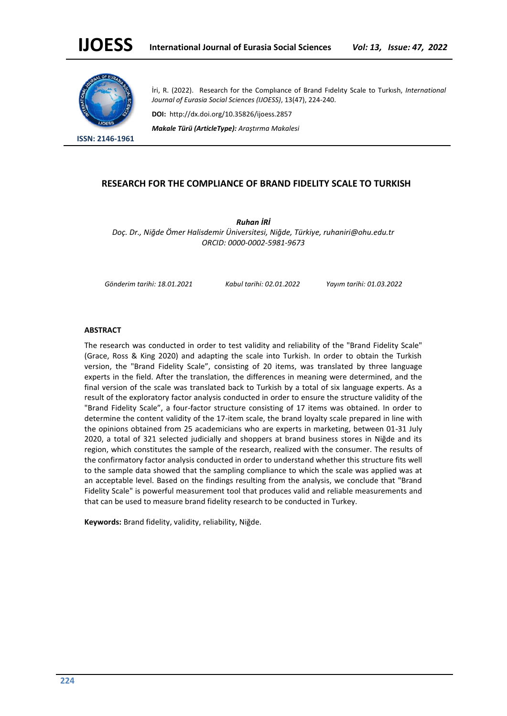

**ISSN: 2146-1961**

İri, R. (2022). Research for the Complıance of Brand Fıdelıty Scale to Turkısh, *International Journal of Eurasia Social Sciences (IJOESS)*, 13(47), 224-240.

**DOI:** http://dx.doi.org/10.35826/ijoess.2857

*Makale Türü (ArticleType): Araştırma Makalesi*

# **RESEARCH FOR THE COMPLIANCE OF BRAND FIDELITY SCALE TO TURKISH**

*Ruhan İRİ Doç. Dr., Niğde Ömer Halisdemir Üniversitesi, Niğde, Türkiye, ruhaniri@ohu.edu.tr ORCID: 0000-0002-5981-9673*

*Gönderim tarihi: 18.01.2021 Kabul tarihi: 02.01.2022 Yayım tarihi: 01.03.2022*

## **ABSTRACT**

The research was conducted in order to test validity and reliability of the "Brand Fidelity Scale" (Grace, Ross & King 2020) and adapting the scale into Turkish. In order to obtain the Turkish version, the "Brand Fidelity Scale", consisting of 20 items, was translated by three language experts in the field. After the translation, the differences in meaning were determined, and the final version of the scale was translated back to Turkish by a total of six language experts. As a result of the exploratory factor analysis conducted in order to ensure the structure validity of the "Brand Fidelity Scale", a four-factor structure consisting of 17 items was obtained. In order to determine the content validity of the 17-item scale, the brand loyalty scale prepared in line with the opinions obtained from 25 academicians who are experts in marketing, between 01-31 July 2020, a total of 321 selected judicially and shoppers at brand business stores in Niğde and its region, which constitutes the sample of the research, realized with the consumer. The results of the confirmatory factor analysis conducted in order to understand whether this structure fits well to the sample data showed that the sampling compliance to which the scale was applied was at an acceptable level. Based on the findings resulting from the analysis, we conclude that "Brand Fidelity Scale" is powerful measurement tool that produces valid and reliable measurements and that can be used to measure brand fidelity research to be conducted in Turkey.

**Keywords:** Brand fidelity, validity, reliability, Niğde.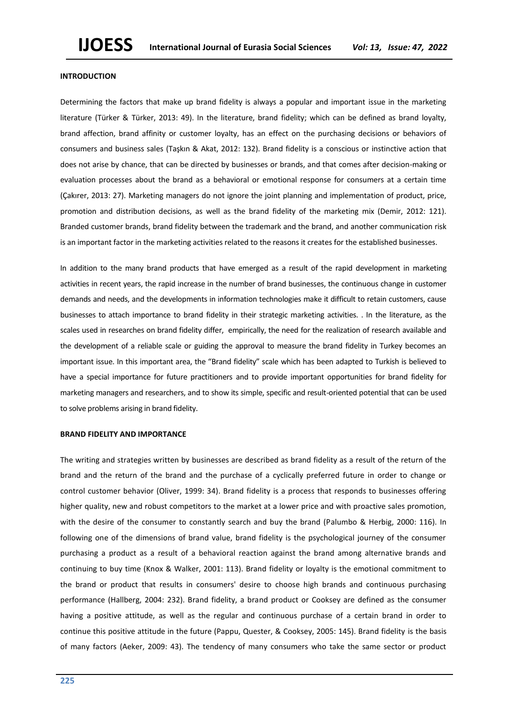#### **INTRODUCTION**

Determining the factors that make up brand fidelity is always a popular and important issue in the marketing literature (Türker & Türker, 2013: 49). In the literature, brand fidelity; which can be defined as brand loyalty, brand affection, brand affinity or customer loyalty, has an effect on the purchasing decisions or behaviors of consumers and business sales (Taşkın & Akat, 2012: 132). Brand fidelity is a conscious or instinctive action that does not arise by chance, that can be directed by businesses or brands, and that comes after decision-making or evaluation processes about the brand as a behavioral or emotional response for consumers at a certain time (Çakırer, 2013: 27). Marketing managers do not ignore the joint planning and implementation of product, price, promotion and distribution decisions, as well as the brand fidelity of the marketing mix (Demir, 2012: 121). Branded customer brands, brand fidelity between the trademark and the brand, and another communication risk is an important factor in the marketing activities related to the reasons it creates for the established businesses.

In addition to the many brand products that have emerged as a result of the rapid development in marketing activities in recent years, the rapid increase in the number of brand businesses, the continuous change in customer demands and needs, and the developments in information technologies make it difficult to retain customers, cause businesses to attach importance to brand fidelity in their strategic marketing activities. . In the literature, as the scales used in researches on brand fidelity differ, empirically, the need for the realization of research available and the development of a reliable scale or guiding the approval to measure the brand fidelity in Turkey becomes an important issue. In this important area, the "Brand fidelity" scale which has been adapted to Turkish is believed to have a special importance for future practitioners and to provide important opportunities for brand fidelity for marketing managers and researchers, and to show its simple, specific and result-oriented potential that can be used to solve problems arising in brand fidelity.

### **BRAND FIDELITY AND IMPORTANCE**

The writing and strategies written by businesses are described as brand fidelity as a result of the return of the brand and the return of the brand and the purchase of a cyclically preferred future in order to change or control customer behavior (Oliver, 1999: 34). Brand fidelity is a process that responds to businesses offering higher quality, new and robust competitors to the market at a lower price and with proactive sales promotion, with the desire of the consumer to constantly search and buy the brand (Palumbo & Herbig, 2000: 116). In following one of the dimensions of brand value, brand fidelity is the psychological journey of the consumer purchasing a product as a result of a behavioral reaction against the brand among alternative brands and continuing to buy time (Knox & Walker, 2001: 113). Brand fidelity or loyalty is the emotional commitment to the brand or product that results in consumers' desire to choose high brands and continuous purchasing performance (Hallberg, 2004: 232). Brand fidelity, a brand product or Cooksey are defined as the consumer having a positive attitude, as well as the regular and continuous purchase of a certain brand in order to continue this positive attitude in the future (Pappu, Quester, & Cooksey, 2005: 145). Brand fidelity is the basis of many factors (Aeker, 2009: 43). The tendency of many consumers who take the same sector or product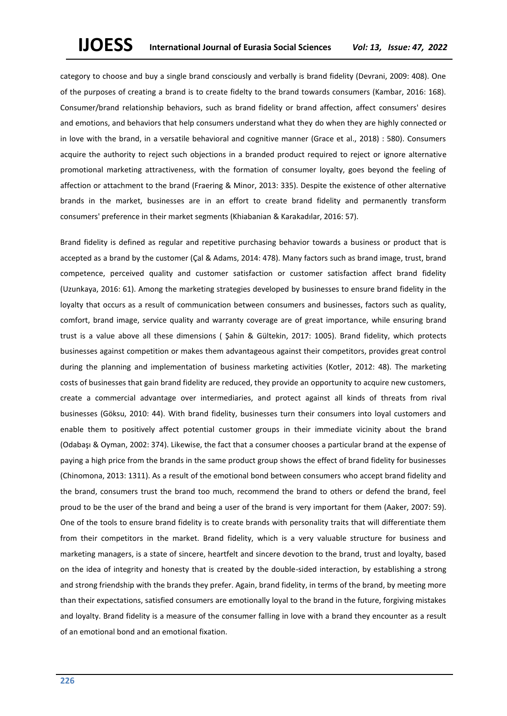category to choose and buy a single brand consciously and verbally is brand fidelity (Devrani, 2009: 408). One of the purposes of creating a brand is to create fidelty to the brand towards consumers (Kambar, 2016: 168). Consumer/brand relationship behaviors, such as brand fidelity or brand affection, affect consumers' desires and emotions, and behaviors that help consumers understand what they do when they are highly connected or in love with the brand, in a versatile behavioral and cognitive manner (Grace et al., 2018) : 580). Consumers acquire the authority to reject such objections in a branded product required to reject or ignore alternative promotional marketing attractiveness, with the formation of consumer loyalty, goes beyond the feeling of affection or attachment to the brand (Fraering & Minor, 2013: 335). Despite the existence of other alternative brands in the market, businesses are in an effort to create brand fidelity and permanently transform consumers' preference in their market segments (Khiabanian & Karakadılar, 2016: 57).

Brand fidelity is defined as regular and repetitive purchasing behavior towards a business or product that is accepted as a brand by the customer (Çal & Adams, 2014: 478). Many factors such as brand image, trust, brand competence, perceived quality and customer satisfaction or customer satisfaction affect brand fidelity (Uzunkaya, 2016: 61). Among the marketing strategies developed by businesses to ensure brand fidelity in the loyalty that occurs as a result of communication between consumers and businesses, factors such as quality, comfort, brand image, service quality and warranty coverage are of great importance, while ensuring brand trust is a value above all these dimensions ( Şahin & Gültekin, 2017: 1005). Brand fidelity, which protects businesses against competition or makes them advantageous against their competitors, provides great control during the planning and implementation of business marketing activities (Kotler, 2012: 48). The marketing costs of businesses that gain brand fidelity are reduced, they provide an opportunity to acquire new customers, create a commercial advantage over intermediaries, and protect against all kinds of threats from rival businesses (Göksu, 2010: 44). With brand fidelity, businesses turn their consumers into loyal customers and enable them to positively affect potential customer groups in their immediate vicinity about the brand (Odabaşı & Oyman, 2002: 374). Likewise, the fact that a consumer chooses a particular brand at the expense of paying a high price from the brands in the same product group shows the effect of brand fidelity for businesses (Chinomona, 2013: 1311). As a result of the emotional bond between consumers who accept brand fidelity and the brand, consumers trust the brand too much, recommend the brand to others or defend the brand, feel proud to be the user of the brand and being a user of the brand is very important for them (Aaker, 2007: 59). One of the tools to ensure brand fidelity is to create brands with personality traits that will differentiate them from their competitors in the market. Brand fidelity, which is a very valuable structure for business and marketing managers, is a state of sincere, heartfelt and sincere devotion to the brand, trust and loyalty, based on the idea of integrity and honesty that is created by the double-sided interaction, by establishing a strong and strong friendship with the brands they prefer. Again, brand fidelity, in terms of the brand, by meeting more than their expectations, satisfied consumers are emotionally loyal to the brand in the future, forgiving mistakes and loyalty. Brand fidelity is a measure of the consumer falling in love with a brand they encounter as a result of an emotional bond and an emotional fixation.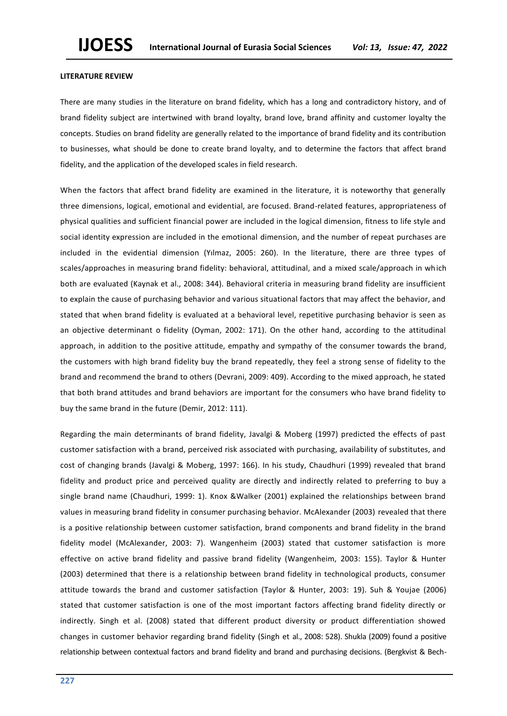## **LITERATURE REVIEW**

There are many studies in the literature on brand fidelity, which has a long and contradictory history, and of brand fidelity subject are intertwined with brand loyalty, brand love, brand affinity and customer loyalty the concepts. Studies on brand fidelity are generally related to the importance of brand fidelity and its contribution to businesses, what should be done to create brand loyalty, and to determine the factors that affect brand fidelity, and the application of the developed scales in field research.

When the factors that affect brand fidelity are examined in the literature, it is noteworthy that generally three dimensions, logical, emotional and evidential, are focused. Brand-related features, appropriateness of physical qualities and sufficient financial power are included in the logical dimension, fitness to life style and social identity expression are included in the emotional dimension, and the number of repeat purchases are included in the evidential dimension (Yılmaz, 2005: 260). In the literature, there are three types of scales/approaches in measuring brand fidelity: behavioral, attitudinal, and a mixed scale/approach in which both are evaluated (Kaynak et al., 2008: 344). Behavioral criteria in measuring brand fidelity are insufficient to explain the cause of purchasing behavior and various situational factors that may affect the behavior, and stated that when brand fidelity is evaluated at a behavioral level, repetitive purchasing behavior is seen as an objective determinant o fidelity (Oyman, 2002: 171). On the other hand, according to the attitudinal approach, in addition to the positive attitude, empathy and sympathy of the consumer towards the brand, the customers with high brand fidelity buy the brand repeatedly, they feel a strong sense of fidelity to the brand and recommend the brand to others (Devrani, 2009: 409). According to the mixed approach, he stated that both brand attitudes and brand behaviors are important for the consumers who have brand fidelity to buy the same brand in the future (Demir, 2012: 111).

Regarding the main determinants of brand fidelity, Javalgi & Moberg (1997) predicted the effects of past customer satisfaction with a brand, perceived risk associated with purchasing, availability of substitutes, and cost of changing brands (Javalgi & Moberg, 1997: 166). In his study, Chaudhuri (1999) revealed that brand fidelity and product price and perceived quality are directly and indirectly related to preferring to buy a single brand name (Chaudhuri, 1999: 1). Knox &Walker (2001) explained the relationships between brand values in measuring brand fidelity in consumer purchasing behavior. McAlexander (2003) revealed that there is a positive relationship between customer satisfaction, brand components and brand fidelity in the brand fidelity model (McAlexander, 2003: 7). Wangenheim (2003) stated that customer satisfaction is more effective on active brand fidelity and passive brand fidelity (Wangenheim, 2003: 155). Taylor & Hunter (2003) determined that there is a relationship between brand fidelity in technological products, consumer attitude towards the brand and customer satisfaction (Taylor & Hunter, 2003: 19). Suh & Youjae (2006) stated that customer satisfaction is one of the most important factors affecting brand fidelity directly or indirectly. Singh et al. (2008) stated that different product diversity or product differentiation showed changes in customer behavior regarding brand fidelity (Singh et al., 2008: 528). Shukla (2009) found a positive relationship between contextual factors and brand fidelity and brand and purchasing decisions. (Bergkvist & Bech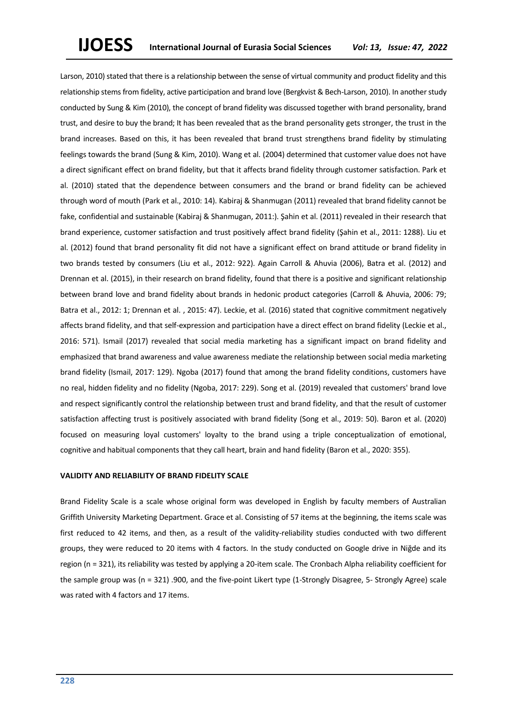Larson, 2010) stated that there is a relationship between the sense of virtual community and product fidelity and this relationship stems from fidelity, active participation and brand love (Bergkvist & Bech-Larson, 2010). In another study conducted by Sung & Kim (2010), the concept of brand fidelity was discussed together with brand personality, brand trust, and desire to buy the brand; It has been revealed that as the brand personality gets stronger, the trust in the brand increases. Based on this, it has been revealed that brand trust strengthens brand fidelity by stimulating feelings towards the brand (Sung & Kim, 2010). Wang et al. (2004) determined that customer value does not have a direct significant effect on brand fidelity, but that it affects brand fidelity through customer satisfaction. Park et al. (2010) stated that the dependence between consumers and the brand or brand fidelity can be achieved through word of mouth (Park et al., 2010: 14). Kabiraj & Shanmugan (2011) revealed that brand fidelity cannot be fake, confidential and sustainable (Kabiraj & Shanmugan, 2011:). Şahin et al. (2011) revealed in their research that brand experience, customer satisfaction and trust positively affect brand fidelity (Şahin et al., 2011: 1288). Liu et al. (2012) found that brand personality fit did not have a significant effect on brand attitude or brand fidelity in two brands tested by consumers (Liu et al., 2012: 922). Again Carroll & Ahuvia (2006), Batra et al. (2012) and Drennan et al. (2015), in their research on brand fidelity, found that there is a positive and significant relationship between brand love and brand fidelity about brands in hedonic product categories (Carroll & Ahuvia, 2006: 79; Batra et al., 2012: 1; Drennan et al. , 2015: 47). Leckie, et al. (2016) stated that cognitive commitment negatively affects brand fidelity, and that self-expression and participation have a direct effect on brand fidelity (Leckie et al., 2016: 571). Ismail (2017) revealed that social media marketing has a significant impact on brand fidelity and emphasized that brand awareness and value awareness mediate the relationship between social media marketing brand fidelity (Ismail, 2017: 129). Ngoba (2017) found that among the brand fidelity conditions, customers have no real, hidden fidelity and no fidelity (Ngoba, 2017: 229). Song et al. (2019) revealed that customers' brand love and respect significantly control the relationship between trust and brand fidelity, and that the result of customer satisfaction affecting trust is positively associated with brand fidelity (Song et al., 2019: 50). Baron et al. (2020) focused on measuring loyal customers' loyalty to the brand using a triple conceptualization of emotional, cognitive and habitual components that they call heart, brain and hand fidelity (Baron et al., 2020: 355).

# **VALIDITY AND RELIABILITY OF BRAND FIDELITY SCALE**

Brand Fidelity Scale is a scale whose original form was developed in English by faculty members of Australian Griffith University Marketing Department. Grace et al. Consisting of 57 items at the beginning, the items scale was first reduced to 42 items, and then, as a result of the validity-reliability studies conducted with two different groups, they were reduced to 20 items with 4 factors. In the study conducted on Google drive in Niğde and its region (n = 321), its reliability was tested by applying a 20-item scale. The Cronbach Alpha reliability coefficient for the sample group was (n = 321) .900, and the five-point Likert type (1-Strongly Disagree, 5- Strongly Agree) scale was rated with 4 factors and 17 items.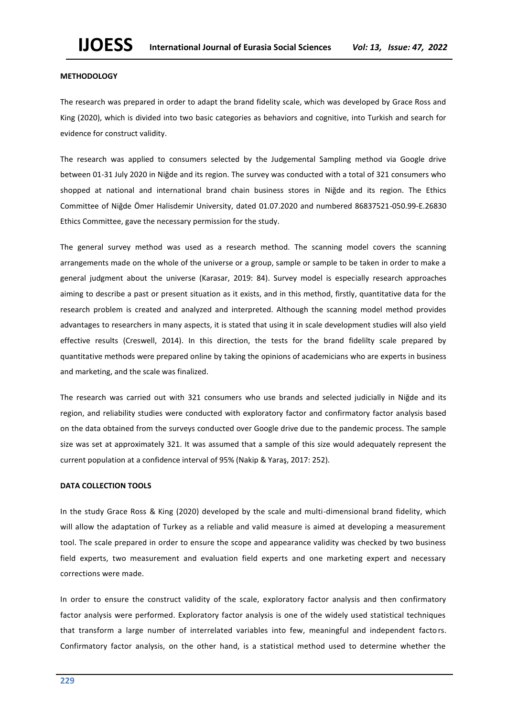### **METHODOLOGY**

The research was prepared in order to adapt the brand fidelity scale, which was developed by Grace Ross and King (2020), which is divided into two basic categories as behaviors and cognitive, into Turkish and search for evidence for construct validity.

The research was applied to consumers selected by the Judgemental Sampling method via Google drive between 01-31 July 2020 in Niğde and its region. The survey was conducted with a total of 321 consumers who shopped at national and international brand chain business stores in Niğde and its region. The Ethics Committee of Niğde Ömer Halisdemir University, dated 01.07.2020 and numbered 86837521-050.99-E.26830 Ethics Committee, gave the necessary permission for the study.

The general survey method was used as a research method. The scanning model covers the scanning arrangements made on the whole of the universe or a group, sample or sample to be taken in order to make a general judgment about the universe (Karasar, 2019: 84). Survey model is especially research approaches aiming to describe a past or present situation as it exists, and in this method, firstly, quantitative data for the research problem is created and analyzed and interpreted. Although the scanning model method provides advantages to researchers in many aspects, it is stated that using it in scale development studies will also yield effective results (Creswell, 2014). In this direction, the tests for the brand fidelilty scale prepared by quantitative methods were prepared online by taking the opinions of academicians who are experts in business and marketing, and the scale was finalized.

The research was carried out with 321 consumers who use brands and selected judicially in Niğde and its region, and reliability studies were conducted with exploratory factor and confirmatory factor analysis based on the data obtained from the surveys conducted over Google drive due to the pandemic process. The sample size was set at approximately 321. It was assumed that a sample of this size would adequately represent the current population at a confidence interval of 95% (Nakip & Yaraş, 2017: 252).

# **DATA COLLECTION TOOLS**

In the study Grace Ross & King (2020) developed by the scale and multi-dimensional brand fidelity, which will allow the adaptation of Turkey as a reliable and valid measure is aimed at developing a measurement tool. The scale prepared in order to ensure the scope and appearance validity was checked by two business field experts, two measurement and evaluation field experts and one marketing expert and necessary corrections were made.

In order to ensure the construct validity of the scale, exploratory factor analysis and then confirmatory factor analysis were performed. Exploratory factor analysis is one of the widely used statistical techniques that transform a large number of interrelated variables into few, meaningful and independent factors. Confirmatory factor analysis, on the other hand, is a statistical method used to determine whether the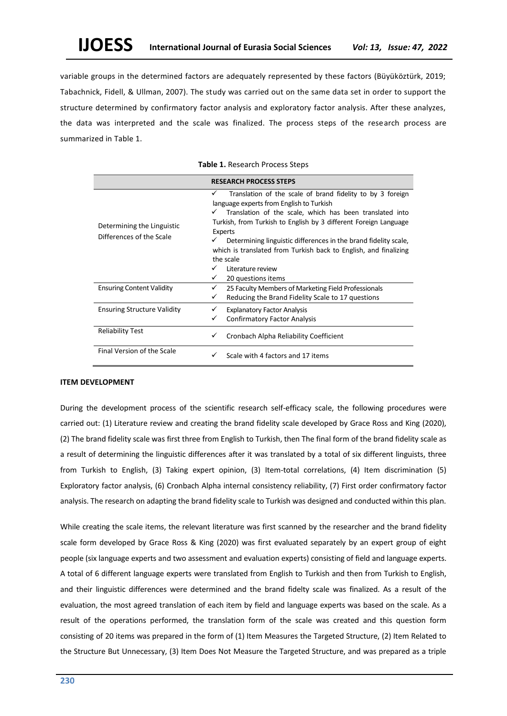variable groups in the determined factors are adequately represented by these factors (Büyüköztürk, 2019; Tabachnick, Fidell, & Ullman, 2007). The study was carried out on the same data set in order to support the structure determined by confirmatory factor analysis and exploratory factor analysis. After these analyzes, the data was interpreted and the scale was finalized. The process steps of the research process are summarized in Table 1.

|                                                        | <b>RESEARCH PROCESS STEPS</b>                                                                                                                                                                                                                                                                                                                                                                           |  |  |  |
|--------------------------------------------------------|---------------------------------------------------------------------------------------------------------------------------------------------------------------------------------------------------------------------------------------------------------------------------------------------------------------------------------------------------------------------------------------------------------|--|--|--|
| Determining the Linguistic<br>Differences of the Scale | Translation of the scale of brand fidelity to by 3 foreign<br>✓<br>language experts from English to Turkish<br>Translation of the scale, which has been translated into<br>✓<br>Turkish, from Turkish to English by 3 different Foreign Language<br>Experts<br>Determining linguistic differences in the brand fidelity scale,<br>✓<br>which is translated from Turkish back to English, and finalizing |  |  |  |
|                                                        | the scale<br>Literature review<br>20 questions items<br>✓                                                                                                                                                                                                                                                                                                                                               |  |  |  |
| <b>Ensuring Content Validity</b>                       | ✓<br>25 Faculty Members of Marketing Field Professionals<br>Reducing the Brand Fidelity Scale to 17 questions<br>✓                                                                                                                                                                                                                                                                                      |  |  |  |
| <b>Ensuring Structure Validity</b>                     | <b>Explanatory Factor Analysis</b><br>✓<br><b>Confirmatory Factor Analysis</b><br>✓                                                                                                                                                                                                                                                                                                                     |  |  |  |
| <b>Reliability Test</b>                                | Cronbach Alpha Reliability Coefficient<br>✓                                                                                                                                                                                                                                                                                                                                                             |  |  |  |
| Final Version of the Scale                             | Scale with 4 factors and 17 items<br>✓                                                                                                                                                                                                                                                                                                                                                                  |  |  |  |

|  | Table 1. Research Process Steps |  |  |
|--|---------------------------------|--|--|
|--|---------------------------------|--|--|

# **ITEM DEVELOPMENT**

During the development process of the scientific research self-efficacy scale, the following procedures were carried out: (1) Literature review and creating the brand fidelity scale developed by Grace Ross and King (2020), (2) The brand fidelity scale was first three from English to Turkish, then The final form of the brand fidelity scale as a result of determining the linguistic differences after it was translated by a total of six different linguists, three from Turkish to English, (3) Taking expert opinion, (3) Item-total correlations, (4) Item discrimination (5) Exploratory factor analysis, (6) Cronbach Alpha internal consistency reliability, (7) First order confirmatory factor analysis. The research on adapting the brand fidelity scale to Turkish was designed and conducted within this plan.

While creating the scale items, the relevant literature was first scanned by the researcher and the brand fidelity scale form developed by Grace Ross & King (2020) was first evaluated separately by an expert group of eight people (six language experts and two assessment and evaluation experts) consisting of field and language experts. A total of 6 different language experts were translated from English to Turkish and then from Turkish to English, and their linguistic differences were determined and the brand fidelty scale was finalized. As a result of the evaluation, the most agreed translation of each item by field and language experts was based on the scale. As a result of the operations performed, the translation form of the scale was created and this question form consisting of 20 items was prepared in the form of (1) Item Measures the Targeted Structure, (2) Item Related to the Structure But Unnecessary, (3) Item Does Not Measure the Targeted Structure, and was prepared as a triple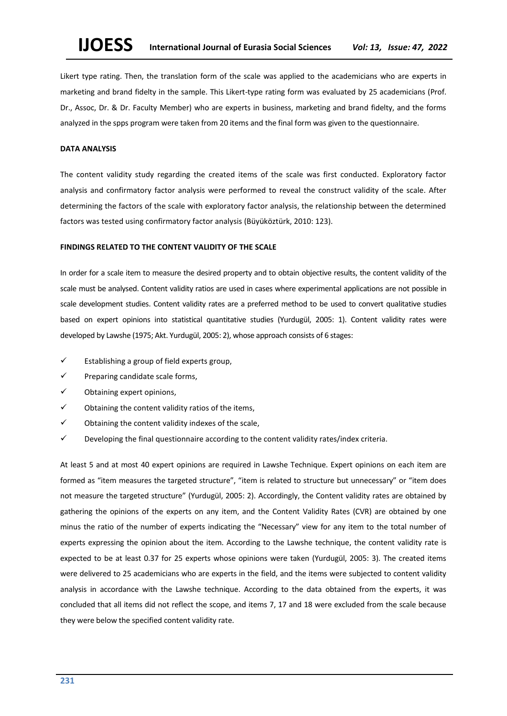Likert type rating. Then, the translation form of the scale was applied to the academicians who are experts in marketing and brand fidelty in the sample. This Likert-type rating form was evaluated by 25 academicians (Prof. Dr., Assoc, Dr. & Dr. Faculty Member) who are experts in business, marketing and brand fidelty, and the forms analyzed in the spps program were taken from 20 items and the final form was given to the questionnaire.

# **DATA ANALYSIS**

The content validity study regarding the created items of the scale was first conducted. Exploratory factor analysis and confirmatory factor analysis were performed to reveal the construct validity of the scale. After determining the factors of the scale with exploratory factor analysis, the relationship between the determined factors was tested using confirmatory factor analysis (Büyüköztürk, 2010: 123).

# **FINDINGS RELATED TO THE CONTENT VALIDITY OF THE SCALE**

In order for a scale item to measure the desired property and to obtain objective results, the content validity of the scale must be analysed. Content validity ratios are used in cases where experimental applications are not possible in scale development studies. Content validity rates are a preferred method to be used to convert qualitative studies based on expert opinions into statistical quantitative studies (Yurdugül, 2005: 1). Content validity rates were developed by Lawshe (1975; Akt. Yurdugül, 2005: 2), whose approach consists of 6 stages:

- $\checkmark$  Establishing a group of field experts group,
- ✓ Preparing candidate scale forms,
- ✓ Obtaining expert opinions,
- $\checkmark$  Obtaining the content validity ratios of the items,
- ✓ Obtaining the content validity indexes of the scale,
- ✓ Developing the final questionnaire according to the content validity rates/index criteria.

At least 5 and at most 40 expert opinions are required in Lawshe Technique. Expert opinions on each item are formed as "item measures the targeted structure", "item is related to structure but unnecessary" or "item does not measure the targeted structure" (Yurdugül, 2005: 2). Accordingly, the Content validity rates are obtained by gathering the opinions of the experts on any item, and the Content Validity Rates (CVR) are obtained by one minus the ratio of the number of experts indicating the "Necessary" view for any item to the total number of experts expressing the opinion about the item. According to the Lawshe technique, the content validity rate is expected to be at least 0.37 for 25 experts whose opinions were taken (Yurdugül, 2005: 3). The created items were delivered to 25 academicians who are experts in the field, and the items were subjected to content validity analysis in accordance with the Lawshe technique. According to the data obtained from the experts, it was concluded that all items did not reflect the scope, and items 7, 17 and 18 were excluded from the scale because they were below the specified content validity rate.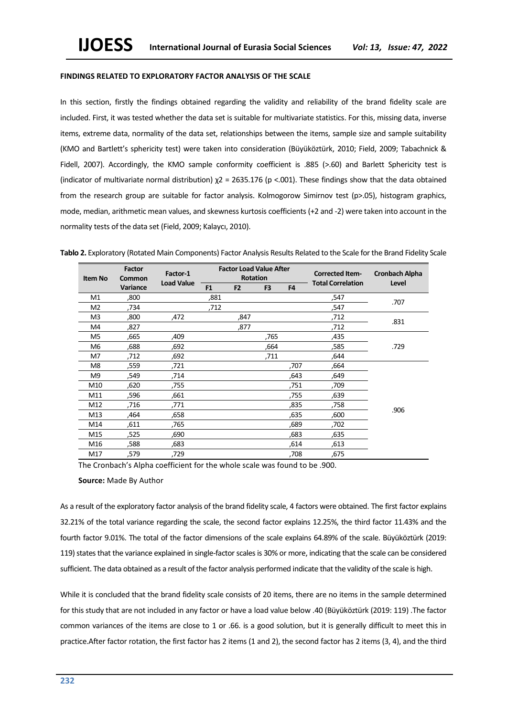### **FINDINGS RELATED TO EXPLORATORY FACTOR ANALYSIS OF THE SCALE**

In this section, firstly the findings obtained regarding the validity and reliability of the brand fidelity scale are included. First, it was tested whether the data set is suitable for multivariate statistics. For this, missing data, inverse items, extreme data, normality of the data set, relationships between the items, sample size and sample suitability (KMO and Bartlett's sphericity test) were taken into consideration (Büyüköztürk, 2010; Field, 2009; Tabachnick & Fidell, 2007). Accordingly, the KMO sample conformity coefficient is .885 (>.60) and Barlett Sphericity test is (indicator of multivariate normal distribution) χ2 = 2635.176 (p <.001). These findings show that the data obtained from the research group are suitable for factor analysis. Kolmogorow Simirnov test (p>.05), histogram graphics, mode, median, arithmetic mean values, and skewness kurtosis coefficients (+2 and -2) were taken into account in the normality tests of the data set (Field, 2009; Kalaycı, 2010).

| <b>Item No</b> | Factor<br>Common | Factor-1          | <b>Factor Load Value After</b><br><b>Rotation</b> |                |                | <b>Corrected Item-</b><br><b>Total Correlation</b> |      | <b>Cronbach Alpha</b> |  |
|----------------|------------------|-------------------|---------------------------------------------------|----------------|----------------|----------------------------------------------------|------|-----------------------|--|
|                | Variance         | <b>Load Value</b> | F <sub>1</sub>                                    | F <sub>2</sub> | F <sub>3</sub> | F <sub>4</sub>                                     |      | Level                 |  |
| M1             | ,800             |                   | ,881                                              |                |                |                                                    | ,547 | .707                  |  |
| M2             | ,734             |                   | ,712                                              |                |                |                                                    | ,547 |                       |  |
| M3             | ,800             | ,472              |                                                   | ,847           |                |                                                    | ,712 | .831                  |  |
| M4             | ,827             |                   |                                                   | ,877           |                |                                                    | ,712 |                       |  |
| M5             | ,665             | ,409              |                                                   |                | ,765           |                                                    | ,435 |                       |  |
| M6             | .688             | ,692              |                                                   |                | .664           |                                                    | ,585 | .729                  |  |
| M7             | ,712             | ,692              |                                                   |                | ,711           |                                                    | ,644 |                       |  |
| M8             | ,559             | ,721              |                                                   |                |                | ,707                                               | ,664 |                       |  |
| M9             | ,549             | ,714              |                                                   |                |                | ,643                                               | ,649 |                       |  |
| M10            | ,620             | ,755              |                                                   |                |                | ,751                                               | ,709 |                       |  |
| M11            | ,596             | ,661              |                                                   |                |                | ,755                                               | ,639 |                       |  |
| M12            | ,716             | ,771              |                                                   |                |                | ,835                                               | ,758 | .906                  |  |
| M13            | .464             | ,658              |                                                   |                |                | .635                                               | ,600 |                       |  |
| M14            | ,611             | .765              |                                                   |                |                | ,689                                               | ,702 |                       |  |
| M15            | ,525             | ,690              |                                                   |                |                | ,683                                               | ,635 |                       |  |
| M16            | ,588             | ,683              |                                                   |                |                | ,614                                               | ,613 |                       |  |
| M17            | ,579             | ,729              |                                                   |                |                | ,708                                               | ,675 |                       |  |

Tablo 2. Exploratory (Rotated Main Components) Factor Analysis Results Related to the Scale for the Brand Fidelity Scale

The Cronbach's Alpha coefficient for the whole scale was found to be .900.

#### **Source:** Made By Author

As a result of the exploratory factor analysis of the brand fidelity scale, 4 factors were obtained. The first factor explains 32.21% of the total variance regarding the scale, the second factor explains 12.25%, the third factor 11.43% and the fourth factor 9.01%. The total of the factor dimensions of the scale explains 64.89% of the scale. Büyüköztürk (2019: 119) states that the variance explained in single-factor scales is 30% or more, indicating that the scale can be considered sufficient. The data obtained as a result of the factor analysis performed indicate that the validity of the scale is high.

While it is concluded that the brand fidelity scale consists of 20 items, there are no items in the sample determined for this study that are not included in any factor or have a load value below .40 (Büyüköztürk (2019: 119) .The factor common variances of the items are close to 1 or .66. is a good solution, but it is generally difficult to meet this in practice.After factor rotation, the first factor has 2 items (1 and 2), the second factor has 2 items (3, 4), and the third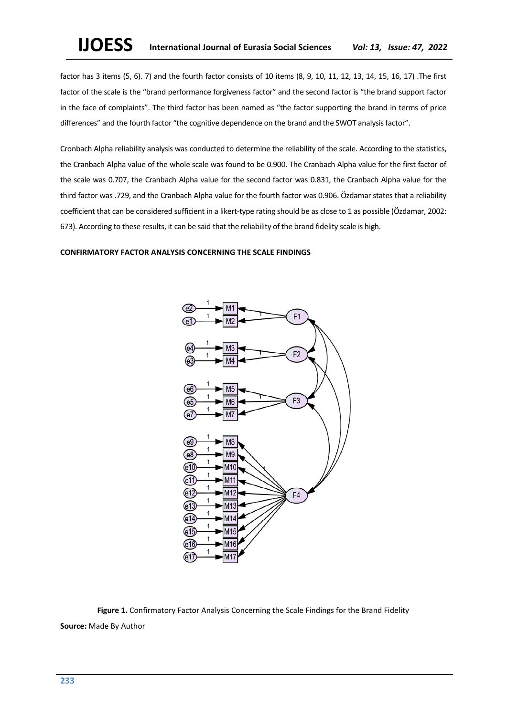factor has 3 items (5, 6). 7) and the fourth factor consists of 10 items (8, 9, 10, 11, 12, 13, 14, 15, 16, 17) .The first factor of the scale is the "brand performance forgiveness factor" and the second factor is "the brand support factor in the face of complaints". The third factor has been named as "the factor supporting the brand in terms of price differences" and the fourth factor "the cognitive dependence on the brand and the SWOT analysis factor".

Cronbach Alpha reliability analysis was conducted to determine the reliability of the scale. According to the statistics, the Cranbach Alpha value of the whole scale was found to be 0.900. The Cranbach Alpha value for the first factor of the scale was 0.707, the Cranbach Alpha value for the second factor was 0.831, the Cranbach Alpha value for the third factor was .729, and the Cranbach Alpha value for the fourth factor was 0.906. Özdamar states that a reliability coefficient that can be considered sufficient in a likert-type rating should be as close to 1 as possible (Özdamar, 2002: 673). According to these results, it can be said that the reliability of the brand fidelity scale is high.

## **CONFIRMATORY FACTOR ANALYSIS CONCERNING THE SCALE FINDINGS**



**Figure 1.** Confirmatory Factor Analysis Concerning the Scale Findings for the Brand Fidelity **Source:** Made By Author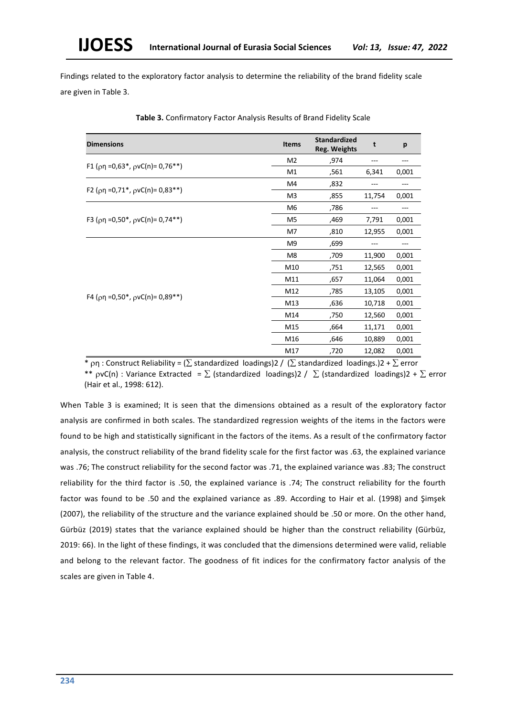Findings related to the exploratory factor analysis to determine the reliability of the brand fidelity scale are given in Table 3.

| <b>Dimensions</b>                                                     | <b>Items</b>   | <b>Standardized</b><br>Reg. Weights | t      | p     |
|-----------------------------------------------------------------------|----------------|-------------------------------------|--------|-------|
|                                                                       | M <sub>2</sub> | ,974                                |        |       |
| F1 ( $\rho$ η =0,63*, $\rho$ νC(n)= 0,76**)                           | M1             | ,561                                | 6,341  | 0,001 |
|                                                                       | M4             | ,832                                |        |       |
| F2 ( $\rho$ η =0,71 <sup>*</sup> , $\rho$ νC(n)= 0,83 <sup>**</sup> ) | M <sub>3</sub> | ,855                                | 11,754 | 0,001 |
|                                                                       | M <sub>6</sub> | ,786                                |        |       |
| F3 ( $\rho$ η =0,50*, $\rho$ νC(n)= 0,74**)                           | M <sub>5</sub> | ,469                                | 7,791  | 0,001 |
|                                                                       | M7             | ,810                                | 12,955 | 0,001 |
|                                                                       | M <sub>9</sub> | ,699                                |        |       |
|                                                                       | M <sub>8</sub> | ,709                                | 11,900 | 0,001 |
|                                                                       | M10            | ,751                                | 12,565 | 0,001 |
|                                                                       | M11            | ,657                                | 11,064 | 0,001 |
|                                                                       | M12            | ,785                                | 13,105 | 0,001 |
| F4 ( $\rho$ η =0,50 <sup>*</sup> , $\rho$ νC(n)= 0,89 <sup>**</sup> ) | M13            | ,636                                | 10,718 | 0,001 |
|                                                                       | M14            | ,750                                | 12,560 | 0,001 |
|                                                                       | M15            | ,664                                | 11,171 | 0,001 |
|                                                                       | M16            | ,646                                | 10,889 | 0,001 |
|                                                                       | M17            | ,720                                | 12,082 | 0,001 |

**Table 3.** Confirmatory Factor Analysis Results of Brand Fidelity Scale

 $*$   $\rho$ n : Construct Reliability = ( $\Sigma$  standardized loadings)2 / ( $\Sigma$  standardized loadings.)2 +  $\Sigma$  error

\*\*  $pvc(n)$  : Variance Extracted =  $\Sigma$  (standardized loadings)2 /  $\Sigma$  (standardized loadings)2 +  $\Sigma$  error (Hair et al., 1998: 612).

When Table 3 is examined; It is seen that the dimensions obtained as a result of the exploratory factor analysis are confirmed in both scales. The standardized regression weights of the items in the factors were found to be high and statistically significant in the factors of the items. As a result of the confirmatory factor analysis, the construct reliability of the brand fidelity scale for the first factor was .63, the explained variance was .76; The construct reliability for the second factor was .71, the explained variance was .83; The construct reliability for the third factor is .50, the explained variance is .74; The construct reliability for the fourth factor was found to be .50 and the explained variance as .89. According to Hair et al. (1998) and Şimşek (2007), the reliability of the structure and the variance explained should be .50 or more. On the other hand, Gürbüz (2019) states that the variance explained should be higher than the construct reliability (Gürbüz, 2019: 66). In the light of these findings, it was concluded that the dimensions determined were valid, reliable and belong to the relevant factor. The goodness of fit indices for the confirmatory factor analysis of the scales are given in Table 4.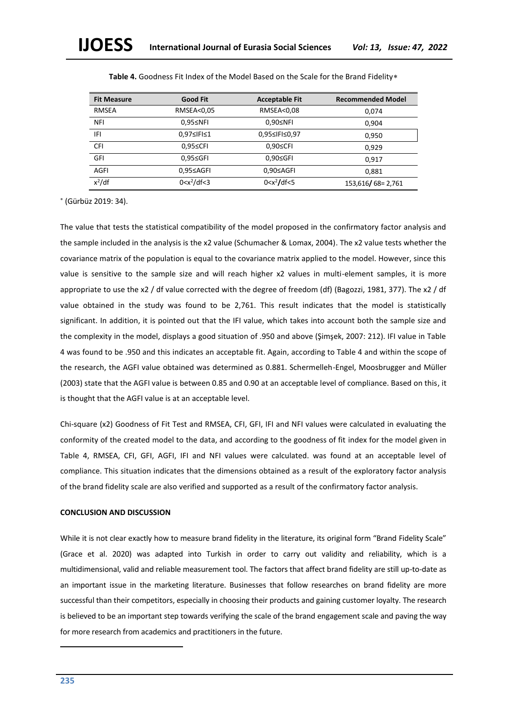| <b>Fit Measure</b> | <b>Good Fit</b>  | <b>Acceptable Fit</b> | <b>Recommended Model</b> |
|--------------------|------------------|-----------------------|--------------------------|
| <b>RMSEA</b>       | RMSEA<0,05       | RMSEA<0,08            | 0,074                    |
| <b>NFI</b>         | $0.95 \leq NFI$  | $0.90 \le NFI$        | 0.904                    |
| IFI                | 0,97≤IFI≤1       | 0,95≤IFI≤0,97         | 0.950                    |
| <b>CFI</b>         | 0,95≤CFI         | 0,90≤CFI              | 0,929                    |
| GFI                | $0.95 \leq GFI$  | $0.90 \leq GFI$       | 0.917                    |
| <b>AGFI</b>        | $0.95 \leq AGF1$ | 0,90≤AGFI             | 0,881                    |
| $x^2$ /df          | $0 < x^2/df < 3$ | $0 < x^2$ /df<5       | 153,616/68=2,761         |

**Table 4.** Goodness Fit Index of the Model Based on the Scale for the Brand Fidelity

(Gürbüz 2019: 34).

The value that tests the statistical compatibility of the model proposed in the confirmatory factor analysis and the sample included in the analysis is the x2 value (Schumacher & Lomax, 2004). The x2 value tests whether the covariance matrix of the population is equal to the covariance matrix applied to the model. However, since this value is sensitive to the sample size and will reach higher x2 values in multi-element samples, it is more appropriate to use the x2 / df value corrected with the degree of freedom (df) (Bagozzi, 1981, 377). The x2 / df value obtained in the study was found to be 2,761. This result indicates that the model is statistically significant. In addition, it is pointed out that the IFI value, which takes into account both the sample size and the complexity in the model, displays a good situation of .950 and above (Şimşek, 2007: 212). IFI value in Table 4 was found to be .950 and this indicates an acceptable fit. Again, according to Table 4 and within the scope of the research, the AGFI value obtained was determined as 0.881. Schermelleh-Engel, Moosbrugger and Müller (2003) state that the AGFI value is between 0.85 and 0.90 at an acceptable level of compliance. Based on this, it is thought that the AGFI value is at an acceptable level.

Chi-square (x2) Goodness of Fit Test and RMSEA, CFI, GFI, IFI and NFI values were calculated in evaluating the conformity of the created model to the data, and according to the goodness of fit index for the model given in Table 4, RMSEA, CFI, GFI, AGFI, IFI and NFI values were calculated. was found at an acceptable level of compliance. This situation indicates that the dimensions obtained as a result of the exploratory factor analysis of the brand fidelity scale are also verified and supported as a result of the confirmatory factor analysis.

### **CONCLUSION AND DISCUSSION**

While it is not clear exactly how to measure brand fidelity in the literature, its original form "Brand Fidelity Scale" (Grace et al. 2020) was adapted into Turkish in order to carry out validity and reliability, which is a multidimensional, valid and reliable measurement tool. The factors that affect brand fidelity are still up-to-date as an important issue in the marketing literature. Businesses that follow researches on brand fidelity are more successful than their competitors, especially in choosing their products and gaining customer loyalty. The research is believed to be an important step towards verifying the scale of the brand engagement scale and paving the way for more research from academics and practitioners in the future.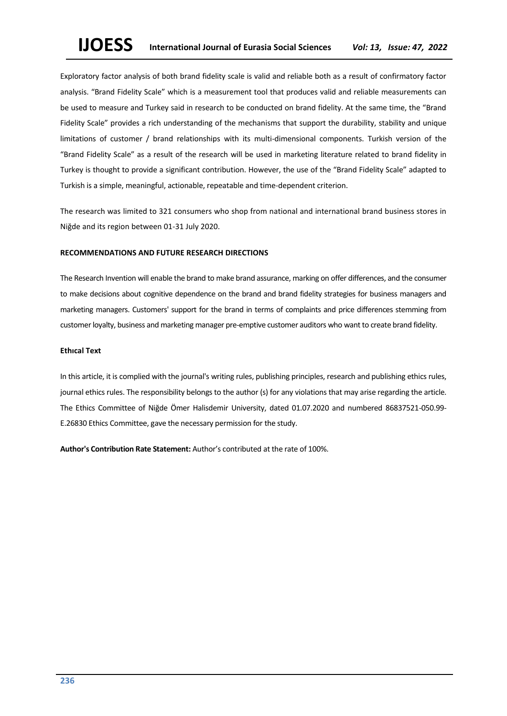Exploratory factor analysis of both brand fidelity scale is valid and reliable both as a result of confirmatory factor analysis. "Brand Fidelity Scale" which is a measurement tool that produces valid and reliable measurements can be used to measure and Turkey said in research to be conducted on brand fidelity. At the same time, the "Brand Fidelity Scale" provides a rich understanding of the mechanisms that support the durability, stability and unique limitations of customer / brand relationships with its multi-dimensional components. Turkish version of the "Brand Fidelity Scale" as a result of the research will be used in marketing literature related to brand fidelity in Turkey is thought to provide a significant contribution. However, the use of the "Brand Fidelity Scale" adapted to Turkish is a simple, meaningful, actionable, repeatable and time-dependent criterion.

The research was limited to 321 consumers who shop from national and international brand business stores in Niğde and its region between 01-31 July 2020.

#### **RECOMMENDATIONS AND FUTURE RESEARCH DIRECTIONS**

The Research Invention will enable the brand to make brand assurance, marking on offer differences, and the consumer to make decisions about cognitive dependence on the brand and brand fidelity strategies for business managers and marketing managers. Customers' support for the brand in terms of complaints and price differences stemming from customer loyalty, business and marketing manager pre-emptive customer auditors who want to create brand fidelity.

# **Ethıcal Text**

In this article, it is complied with the journal's writing rules, publishing principles, research and publishing ethics rules, journal ethics rules. The responsibility belongs to the author (s) for any violations that may arise regarding the article. The Ethics Committee of Niğde Ömer Halisdemir University, dated 01.07.2020 and numbered 86837521-050.99- E.26830 Ethics Committee, gave the necessary permission for the study.

**Author's Contribution Rate Statement:** Author's contributed at the rate of 100%.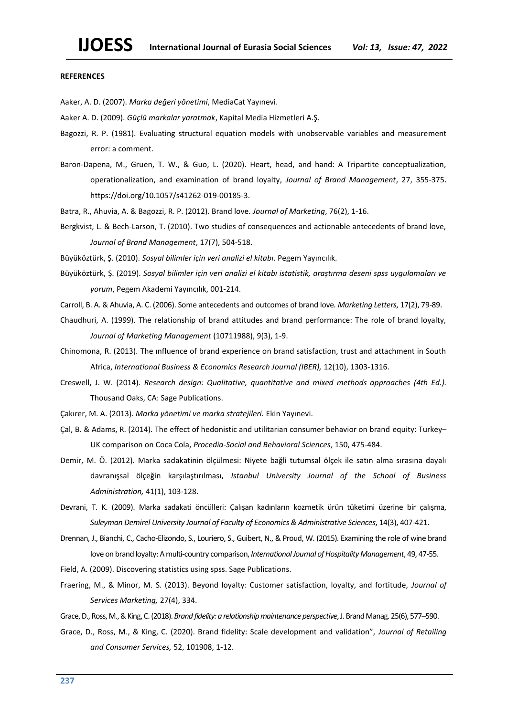#### **REFERENCES**

Aaker, A. D. (2007). *Marka değeri yönetimi*, MediaCat Yayınevi.

Aaker A. D. (2009). *Güçlü markalar yaratmak*, Kapital Media Hizmetleri A.Ş.

- Bagozzi, R. P. (1981). Evaluating structural equation models with unobservable variables and measurement error: a comment.
- Baron-Dapena, M., Gruen, T. W., & Guo, L. (2020). Heart, head, and hand: A Tripartite conceptualization, operationalization, and examination of brand loyalty, *Journal of Brand Management*, 27, 355-375. https://doi.org/10.1057/s41262-019-00185-3.
- Batra, R., Ahuvia, A. & Bagozzi, R. P. (2012). Brand love. *Journal of Marketing*, 76(2), 1-16.
- Bergkvist, L. & Bech-Larson, T. (2010). Two studies of consequences and actionable antecedents of brand love, *Journal of Brand Management*, 17(7), 504-518.

Büyüköztürk, Ş. (2010). *Sosyal bilimler için veri analizi el kitabı*. Pegem Yayıncılık.

Büyüköztürk, Ş. (2019). *Sosyal bilimler için veri analizi el kitabı istatistik, araştırma deseni spss uygulamaları ve yorum*, Pegem Akademi Yayıncılık, 001-214.

Carroll, B. A. & Ahuvia, A. C. (2006). Some antecedents and outcomes of brand love*. Marketing Letters*, 17(2), 79-89.

- Chaudhuri, A. (1999). The relationship of brand attitudes and brand performance: The role of brand loyalty, *Journal of Marketing Management* (10711988), 9(3), 1-9.
- Chinomona, R. (2013). The ınfluence of brand experience on brand satisfaction, trust and attachment in South Africa, *International Business & Economics Research Journal (IBER),* 12(10), 1303-1316.
- Creswell, J. W. (2014). *Research design: Qualitative, quantitative and mixed methods approaches (4th Ed.).* Thousand Oaks, CA: Sage Publications.
- Çakırer, M. A. (2013). *Marka yönetimi ve marka stratejileri.* Ekin Yayınevi.
- Çal, B. & Adams, R. (2014). The effect of hedonistic and utilitarian consumer behavior on brand equity: Turkey– UK comparison on Coca Cola, *Procedia-Social and Behavioral Sciences*, 150, 475-484.
- Demir, M. Ö. (2012). Marka sadakatinin ölçülmesi: Niyete bağli tutumsal ölçek ile satın alma sırasına dayalı davranışsal ölçeğin karşılaştırılması, *Istanbul University Journal of the School of Business Administration,* 41(1), 103-128.
- Devrani, T. K. (2009). Marka sadakati öncülleri: Çalışan kadınların kozmetik ürün tüketimi üzerine bir çalışma, *Suleyman Demirel University Journal of Faculty of Economics & Administrative Sciences*, 14(3), 407-421.
- Drennan, J., Bianchi, C., Cacho-Elizondo, S., Louriero, S., Guibert, N., & Proud, W. (2015). Examining the role of wine brand love on brand loyalty: A multi-country comparison, *International Journal of Hospitality Management*, 49, 47-55.
- Field, A. (2009). Discovering statistics using spss. Sage Publications.
- Fraering, M., & Minor, M. S. (2013). Beyond loyalty: Customer satisfaction, loyalty, and fortitude, *Journal of Services Marketing,* 27(4), 334.
- Grace, D., Ross, M., & King, C. (2018). *Brand fidelity: a relationship maintenance perspective*, J. Brand Manag. 25(6), 577–590.
- Grace, D., Ross, M., & King, C. (2020). Brand fidelity: Scale development and validation", *Journal of Retailing and Consumer Services,* 52, 101908, 1-12.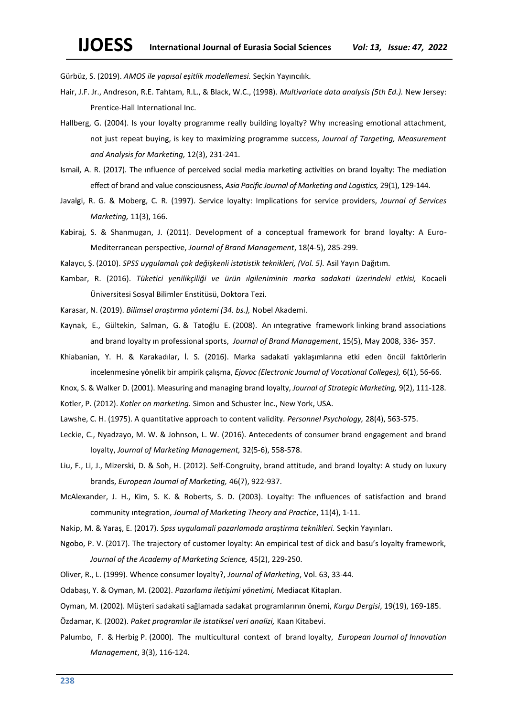Gürbüz, S. (2019). *AMOS ile yapısal eşitlik modellemesi.* Seçkin Yayıncılık.

- Hair, J.F. Jr., Andreson, R.E. Tahtam, R.L., & Black, W.C., (1998). *Multivariate data analysis (5th Ed.).* New Jersey: Prentice-Hall International Inc.
- Hallberg, G. (2004). Is your loyalty programme really building loyalty? Why ıncreasing emotional attachment, not just repeat buying, is key to maximizing programme success, *Journal of Targeting, Measurement and Analysis for Marketing,* 12(3), 231-241.
- Ismail, A. R. (2017). The ınfluence of perceived social media marketing activities on brand loyalty: The mediation effect of brand and value consciousness, *Asia Pacific Journal of Marketing and Logistics,* 29(1), 129-144.
- Javalgi, R. G. & Moberg, C. R. (1997). Service loyalty: Implications for service providers, *Journal of Services Marketing,* 11(3), 166.
- Kabiraj, S. & Shanmugan, J. (2011). Development of a conceptual framework for brand loyalty: A Euro-Mediterranean perspective, *Journal of Brand Management*, 18(4-5), 285-299.
- Kalaycı, Ş. (2010). *SPSS uygulamalı çok değişkenli istatistik teknikleri, (Vol. 5).* Asil Yayın Dağıtım.
- Kambar, R. (2016). *Tüketici yenilikçiliği ve ürün ılgileniminin marka sadakati üzerindeki etkisi,* Kocaeli Üniversitesi Sosyal Bilimler Enstitüsü, Doktora Tezi.
- Karasar, N. (2019). *Bilimsel araştırma yöntemi (34. bs.),* Nobel Akademi.
- Kaynak, E., Gültekin, Salman, G. & Tatoğlu E. (2008). An ıntegrative framework linking brand associations and brand loyalty ın professional sports, *Journal of Brand Management*, 15(5), May 2008, 336- 357.
- Khiabanian, Y. H. & Karakadılar, İ. S. (2016). Marka sadakati yaklaşımlarına etki eden öncül faktörlerin incelenmesine yönelik bir ampirik çalışma, *Ejovoc (Electronic Journal of Vocational Colleges),* 6(1), 56-66.
- Knox, S. & Walker D. (2001). Measuring and managing brand loyalty, *Journal of Strategic Marketing,* 9(2), 111-128.

Kotler, P. (2012). *Kotler on marketing.* Simon and Schuster İnc., New York, USA.

- Lawshe, C. H. (1975). A quantitative approach to content validity. *Personnel Psychology,* 28(4), 563-575.
- Leckie, C., Nyadzayo, M. W. & Johnson, L. W. (2016). Antecedents of consumer brand engagement and brand loyalty, *Journal of Marketing Management,* 32(5-6), 558-578.
- Liu, F., Li, J., Mizerski, D. & Soh, H. (2012). Self‐Congruity, brand attitude, and brand loyalty: A study on luxury brands, *European Journal of Marketing,* 46(7), 922-937.
- McAlexander, J. H., Kim, S. K. & Roberts, S. D. (2003). Loyalty: The ınfluences of satisfaction and brand community ıntegration, *Journal of Marketing Theory and Practice*, 11(4), 1-11.
- Nakip, M. & Yaraş, E. (2017). *Spss uygulamali pazarlamada araştirma teknikleri.* Seçkin Yayınları.
- Ngobo, P. V. (2017). The trajectory of customer loyalty: An empirical test of dick and basu's loyalty framework, *Journal of the Academy of Marketing Science,* 45(2), 229-250.
- Oliver, R., L. (1999). Whence consumer loyalty?, *Journal of Marketing*, Vol. 63, 33-44.
- Odabaşı, Y. & Oyman, M. (2002). *Pazarlama iletişimi yönetimi,* Mediacat Kitapları.

Oyman, M. (2002). Müşteri sadakati sağlamada sadakat programlarının önemi, *Kurgu Dergisi*, 19(19), 169-185.

- Özdamar, K. (2002). *Paket programlar ile istatiksel veri analizi,* Kaan Kitabevi.
- Palumbo, F. & Herbig P. (2000). The multicultural context of brand loyalty, *European Journal of Innovation Management*, 3(3), 116-124.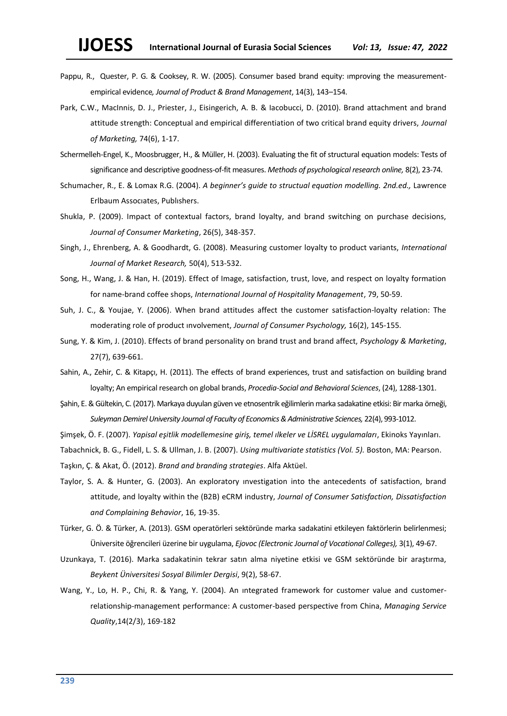- Pappu, R., Quester, P. G. & Cooksey, R. W. (2005). Consumer based brand equity: ımproving the measurementempirical evidence*, Journal of Product & Brand Management*, 14(3), 143–154.
- Park, C.W., MacInnis, D. J., Priester, J., Eisingerich, A. B. & Iacobucci, D. (2010). Brand attachment and brand attitude strength: Conceptual and empirical differentiation of two critical brand equity drivers, *Journal of Marketing,* 74(6), 1-17.
- Schermelleh-Engel, K., Moosbrugger, H., & Müller, H. (2003). Evaluating the fit of structural equation models: Tests of significance and descriptive goodness-of-fit measures. *Methods of psychological research online,* 8(2), 23-74.
- Schumacher, R., E. & Lomax R.G. (2004). *A beginner's guide to structual equation modelling. 2nd.ed.,* Lawrence Erlbaum Assocıates, Publıshers.
- Shukla, P. (2009). Impact of contextual factors, brand loyalty, and brand switching on purchase decisions, *Journal of Consumer Marketing*, 26(5), 348-357.
- Singh, J., Ehrenberg, A. & Goodhardt, G. (2008). Measuring customer loyalty to product variants, *International Journal of Market Research,* 50(4), 513-532.
- Song, H., Wang, J. & Han, H. (2019). Effect of Image, satisfaction, trust, love, and respect on loyalty formation for name-brand coffee shops, *International Journal of Hospitality Management*, 79, 50-59.
- Suh, J. C., & Youjae, Y. (2006). When brand attitudes affect the customer satisfaction‐loyalty relation: The moderating role of product ınvolvement, *Journal of Consumer Psychology,* 16(2), 145-155.
- Sung, Y. & Kim, J. (2010). Effects of brand personality on brand trust and brand affect, *Psychology & Marketing*, 27(7), 639-661.
- Sahin, A., Zehir, C. & Kitapçı, H. (2011). The effects of brand experiences, trust and satisfaction on building brand loyalty; An empirical research on global brands, *Procedia-Social and Behavioral Sciences*, (24), 1288-1301.
- Şahin, E. & Gültekin, C. (2017). Markaya duyulan güven ve etnosentrik eğilimlerin marka sadakatine etkisi: Bir marka örneği, *Suleyman Demirel University Journal of Faculty of Economics & Administrative Sciences,* 22(4), 993-1012.
- Şimşek, Ö. F. (2007). *Yapisal eşitlik modellemesine giriş, temel ılkeler ve LİSREL uygulamaları*, Ekinoks Yayınları.
- Tabachnick, B. G., Fidell, L. S. & Ullman, J. B. (2007). *Using multivariate statistics (Vol. 5).* Boston, MA: Pearson.
- Taşkın, Ç. & Akat, Ö. (2012). *Brand and branding strategies*. Alfa Aktüel.
- Taylor, S. A. & Hunter, G. (2003). An exploratory ınvestigation into the antecedents of satisfaction, brand attitude, and loyalty within the (B2B) eCRM industry, *Journal of Consumer Satisfaction, Dissatisfaction and Complaining Behavior*, 16, 19-35.
- Türker, G. Ö. & Türker, A. (2013). GSM operatörleri sektöründe marka sadakatini etkileyen faktörlerin belirlenmesi; Üniversite öğrencileri üzerine bir uygulama, *Ejovoc (Electronic Journal of Vocational Colleges),* 3(1), 49-67.
- Uzunkaya, T. (2016). Marka sadakatinin tekrar satın alma niyetine etkisi ve GSM sektöründe bir araştırma, *Beykent Üniversitesi Sosyal Bilimler Dergisi*, 9(2), 58-67.
- Wang, Y., Lo, H. P., Chi, R. & Yang, Y. (2004). An ıntegrated framework for customer value and customerrelationship-management performance: A customer-based perspective from China, *Managing Service Quality*,14(2/3), 169-182